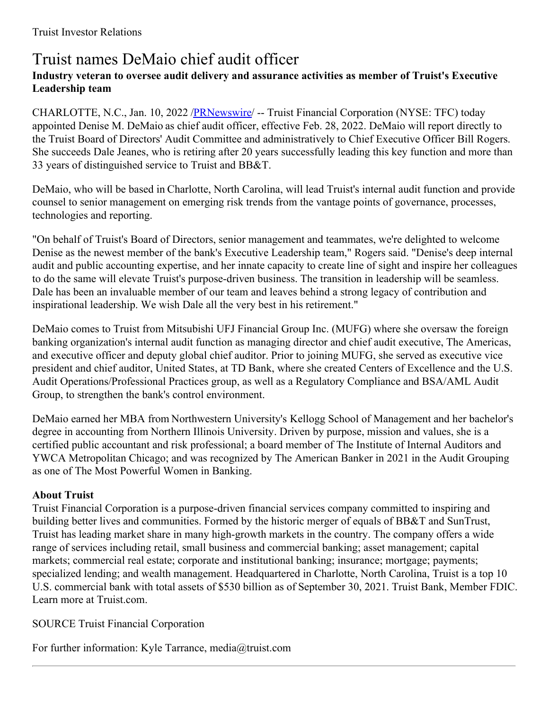## Truist names DeMaio chief audit officer

## **Industry veteran to oversee audit delivery and assurance activities as member of Truist's Executive Leadership team**

CHARLOTTE, N.C., Jan. 10, 2022 /**PRNewswire/** -- Truist Financial Corporation (NYSE: TFC) today appointed Denise M. DeMaio as chief audit officer, effective Feb. 28, 2022. DeMaio will report directly to the Truist Board of Directors' Audit Committee and administratively to Chief Executive Officer Bill Rogers. She succeeds Dale Jeanes, who is retiring after 20 years successfully leading this key function and more than 33 years of distinguished service to Truist and BB&T.

DeMaio, who will be based in Charlotte, North Carolina, will lead Truist's internal audit function and provide counsel to senior management on emerging risk trends from the vantage points of governance, processes, technologies and reporting.

"On behalf of Truist's Board of Directors, senior management and teammates, we're delighted to welcome Denise as the newest member of the bank's Executive Leadership team," Rogers said. "Denise's deep internal audit and public accounting expertise, and her innate capacity to create line of sight and inspire her colleagues to do the same will elevate Truist's purpose-driven business. The transition in leadership will be seamless. Dale has been an invaluable member of our team and leaves behind a strong legacy of contribution and inspirational leadership. We wish Dale all the very best in his retirement."

DeMaio comes to Truist from Mitsubishi UFJ Financial Group Inc. (MUFG) where she oversaw the foreign banking organization's internal audit function as managing director and chief audit executive, The Americas, and executive officer and deputy global chief auditor. Prior to joining MUFG, she served as executive vice president and chief auditor, United States, at TD Bank, where she created Centers of Excellence and the U.S. Audit Operations/Professional Practices group, as well as a Regulatory Compliance and BSA/AML Audit Group, to strengthen the bank's control environment.

DeMaio earned her MBA from Northwestern University's Kellogg School of Management and her bachelor's degree in accounting from Northern Illinois University. Driven by purpose, mission and values, she is a certified public accountant and risk professional; a board member of The Institute of Internal Auditors and YWCA Metropolitan Chicago; and was recognized by The American Banker in 2021 in the Audit Grouping as one of The Most Powerful Women in Banking.

## **About Truist**

Truist Financial Corporation is a purpose-driven financial services company committed to inspiring and building better lives and communities. Formed by the historic merger of equals of BB&T and SunTrust, Truist has leading market share in many high-growth markets in the country. The company offers a wide range of services including retail, small business and commercial banking; asset management; capital markets; commercial real estate; corporate and institutional banking; insurance; mortgage; payments; specialized lending; and wealth management. Headquartered in Charlotte, North Carolina, Truist is a top 10 U.S. commercial bank with total assets of \$530 billion as of September 30, 2021. Truist Bank, Member FDIC. Learn more at Truist.com.

SOURCE Truist Financial Corporation

For further information: Kyle Tarrance, media@truist.com